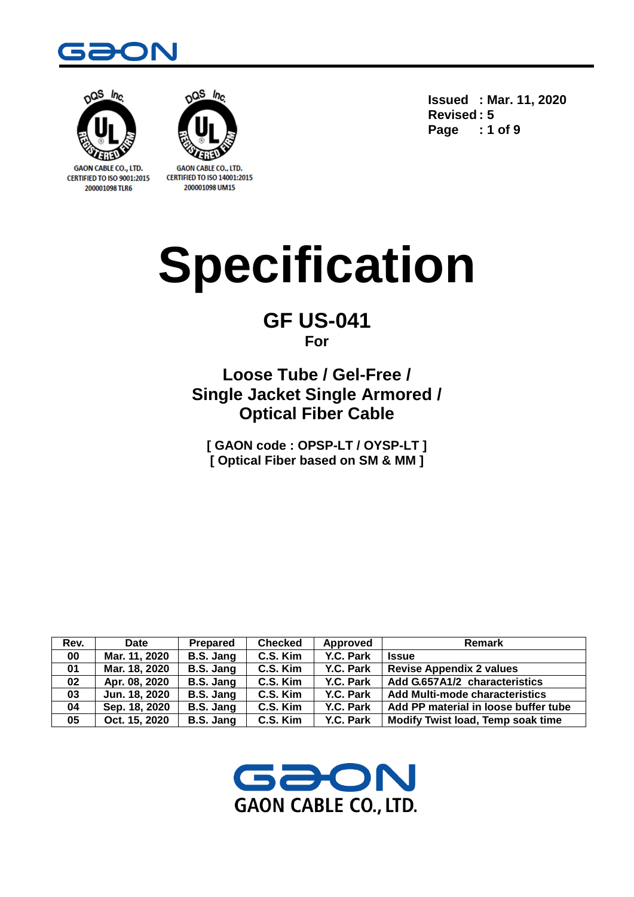



CERTIFIED TO ISO 9001:2015 200001098 TLR6



**CERTIFIED TO ISO 14001:2015** 200001098 UM15

**Issued : Mar. 11, 2020 Revised : 5 Page : 1 of 9**

# **Specification**

# **GF US-041 For**

**Loose Tube / Gel-Free / Single Jacket Single Armored / Optical Fiber Cable**

**[ GAON code : OPSP-LT / OYSP-LT ] [ Optical Fiber based on SM & MM ]**

| Rev. | Date          | Prepared  | <b>Checked</b> | Approved  | <b>Remark</b>                         |
|------|---------------|-----------|----------------|-----------|---------------------------------------|
| 00   | Mar. 11, 2020 | B.S. Jang | C.S. Kim       | Y.C. Park | <b>Issue</b>                          |
| 01   | Mar. 18, 2020 | B.S. Jang | C.S. Kim       | Y.C. Park | <b>Revise Appendix 2 values</b>       |
| 02   | Apr. 08, 2020 | B.S. Jang | C.S. Kim       | Y.C. Park | Add G.657A1/2 characteristics         |
| 03   | Jun. 18, 2020 | B.S. Jang | C.S. Kim       | Y.C. Park | <b>Add Multi-mode characteristics</b> |
| 04   | Sep. 18, 2020 | B.S. Jang | C.S. Kim       | Y.C. Park | Add PP material in loose buffer tube  |
| 05   | Oct. 15, 2020 | B.S. Jang | C.S. Kim       | Y.C. Park | Modify Twist load, Temp soak time     |

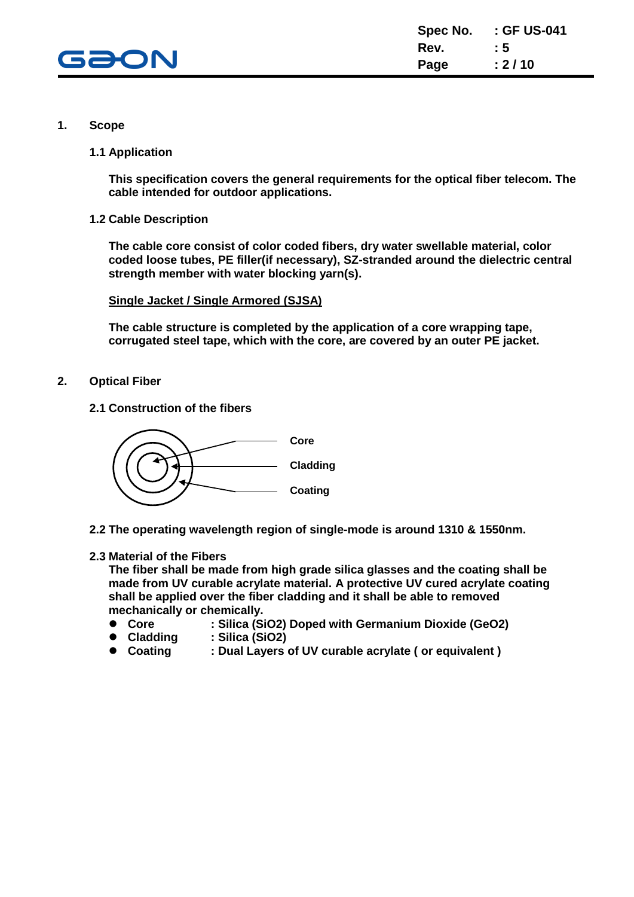

#### **1. Scope**

**1.1 Application**

**This specification covers the general requirements for the optical fiber telecom. The cable intended for outdoor applications.**

**1.2 Cable Description**

**The cable core consist of color coded fibers, dry water swellable material, color coded loose tubes, PE filler(if necessary), SZ-stranded around the dielectric central strength member with water blocking yarn(s).**

**Single Jacket / Single Armored (SJSA)**

**The cable structure is completed by the application of a core wrapping tape, corrugated steel tape, which with the core, are covered by an outer PE jacket.**

- **2. Optical Fiber**
	- **2.1 Construction of the fibers**



**2.2 The operating wavelength region of single-mode is around 1310 & 1550nm.**

**2.3 Material of the Fibers**

**The fiber shall be made from high grade silica glasses and the coating shall be made from UV curable acrylate material. A protective UV cured acrylate coating shall be applied over the fiber cladding and it shall be able to removed mechanically or chemically.**

- **Core : Silica (SiO2) Doped with Germanium Dioxide (GeO2)**
- **Cladding : Silica (SiO2)**
- **Coating : Dual Layers of UV curable acrylate ( or equivalent )**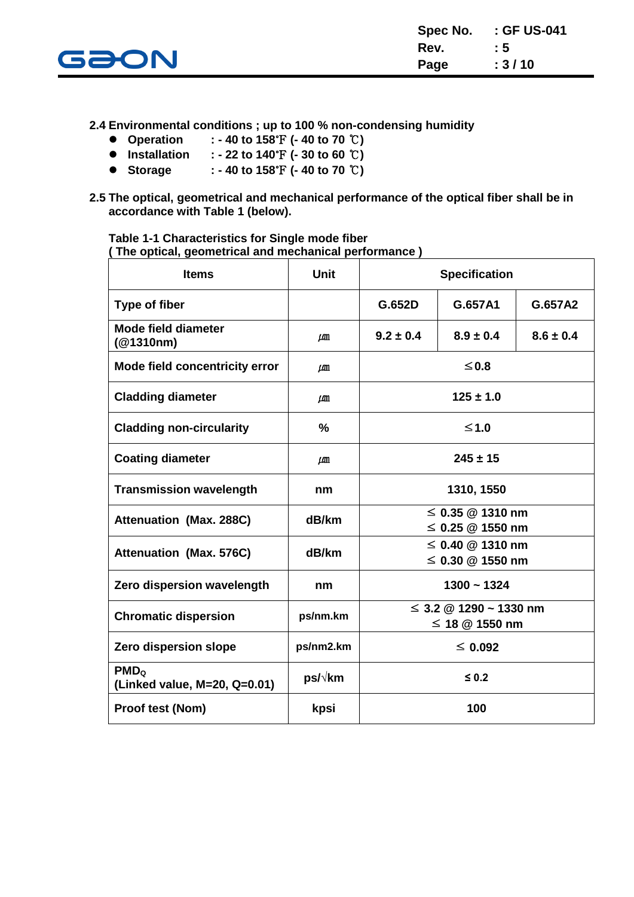

**2.4 Environmental conditions ; up to 100 % non-condensing humidity**

- **Operation : - 40 to 158**℉ **(- 40 to 70** ℃**)**
- **Installation : - 22 to 140**℉ **(- 30 to 60** ℃**)**
- **Storage : - 40 to 158**℉ **(- 40 to 70** ℃**)**
- **2.5 The optical, geometrical and mechanical performance of the optical fiber shall be in accordance with Table 1 (below).**

**Table 1-1 Characteristics for Single mode fiber ( The optical, geometrical and mechanical performance )**

| <b>Items</b>                                     | <b>Unit</b>   | <b>Specification</b>                            |               |               |
|--------------------------------------------------|---------------|-------------------------------------------------|---------------|---------------|
| Type of fiber                                    |               | G.652D                                          | G.657A1       | G.657A2       |
| <b>Mode field diameter</b><br>(@1310nm)          | $\mu$ m       | $9.2 \pm 0.4$                                   | $8.9 \pm 0.4$ | $8.6 \pm 0.4$ |
| Mode field concentricity error                   | $\mu$ m       |                                                 | ≤0.8          |               |
| <b>Cladding diameter</b>                         | $\mu$ m       |                                                 | $125 \pm 1.0$ |               |
| <b>Cladding non-circularity</b>                  | $\frac{9}{6}$ |                                                 | $≤1.0$        |               |
| <b>Coating diameter</b>                          | $\mu$ m       | $245 \pm 15$                                    |               |               |
| <b>Transmission wavelength</b>                   | nm            | 1310, 1550                                      |               |               |
| <b>Attenuation (Max. 288C)</b>                   | dB/km         | $\leq$ 0.35 @ 1310 nm<br>$\leq$ 0.25 @ 1550 nm  |               |               |
| <b>Attenuation (Max. 576C)</b>                   | dB/km         | $\leq$ 0.40 @ 1310 nm<br>$\leq$ 0.30 @ 1550 nm  |               |               |
| Zero dispersion wavelength                       | nm            |                                                 | $1300 - 1324$ |               |
| <b>Chromatic dispersion</b>                      | ps/nm.km      | $\leq$ 3.2 @ 1290 ~ 1330 nm<br>≤ 18 $@$ 1550 nm |               |               |
| Zero dispersion slope                            | ps/nm2.km     | $\leq 0.092$                                    |               |               |
| PMD <sub>o</sub><br>(Linked value, M=20, Q=0.01) | ps/√km        | $\leq 0.2$                                      |               |               |
| Proof test (Nom)                                 | kpsi          |                                                 | 100           |               |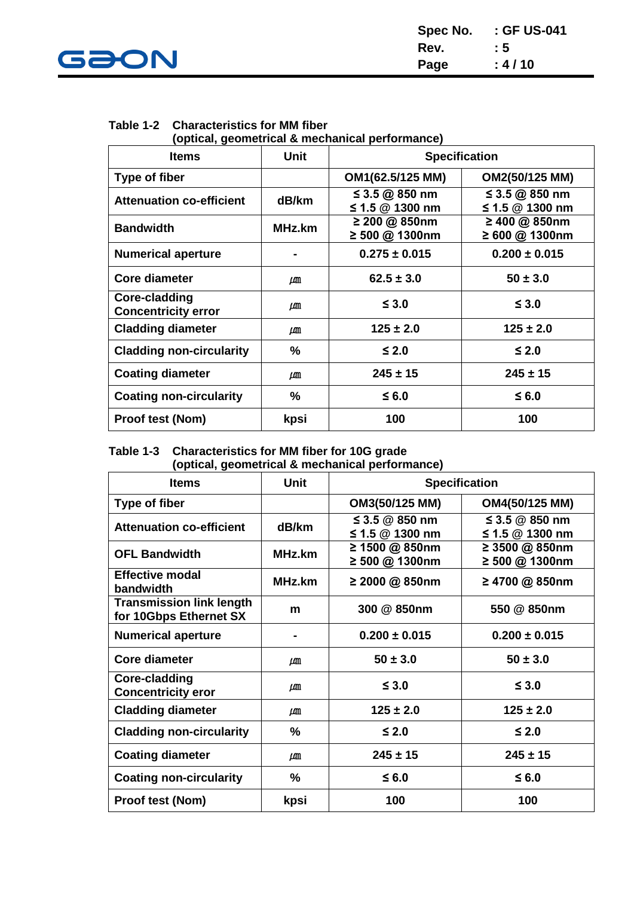

| Spec No. | : GF US-041 |
|----------|-------------|
| Rev.     | : 5         |
| Page     | : 4/10      |

## **Table 1-2 Characteristics for MM fiber**

**(optical, geometrical & mechanical performance)**

| <b>Items</b>                                | <b>Unit</b> | <b>Specification</b>                |                                     |  |
|---------------------------------------------|-------------|-------------------------------------|-------------------------------------|--|
| Type of fiber                               |             | OM1(62.5/125 MM)                    | OM2(50/125 MM)                      |  |
| <b>Attenuation co-efficient</b>             | dB/km       | ≤ 3.5 @ 850 nm<br>≤ 1.5 $@$ 1300 nm | ≤ 3.5 @ 850 nm<br>≤ 1.5 $@$ 1300 nm |  |
| <b>Bandwidth</b>                            | MHz.km      | ≥ 200 @ 850nm<br>≥ 500 @ 1300nm     | ≥ 400 @ 850nm<br>≥ 600 @ 1300nm     |  |
| <b>Numerical aperture</b>                   |             | $0.275 \pm 0.015$                   | $0.200 \pm 0.015$                   |  |
| <b>Core diameter</b>                        | μm          | $62.5 \pm 3.0$                      | $50 \pm 3.0$                        |  |
| Core-cladding<br><b>Concentricity error</b> | $\mu$ m     | $\leq 3.0$                          | $\leq$ 3.0                          |  |
| <b>Cladding diameter</b>                    | LЩ          | $125 \pm 2.0$                       | $125 \pm 2.0$                       |  |
| <b>Cladding non-circularity</b>             | $\%$        | $≤$ 2.0                             | $\leq 2.0$                          |  |
| <b>Coating diameter</b>                     | $\mu$ m     | $245 \pm 15$                        | $245 \pm 15$                        |  |
| <b>Coating non-circularity</b>              | %           | $≤$ 6.0                             | $≤$ 6.0                             |  |
| <b>Proof test (Nom)</b>                     | kpsi        | 100                                 | 100                                 |  |

#### **Table 1-3 Characteristics for MM fiber for 10G grade (optical, geometrical & mechanical performance)**

| <b>Items</b>                                              | <b>Unit</b> | <b>Specification</b>                  |                                       |  |
|-----------------------------------------------------------|-------------|---------------------------------------|---------------------------------------|--|
| <b>Type of fiber</b>                                      |             | OM3(50/125 MM)                        | OM4(50/125 MM)                        |  |
| <b>Attenuation co-efficient</b>                           | dB/km       | ≤ 3.5 $@$ 850 nm<br>≤ 1.5 $@$ 1300 nm | ≤ 3.5 $@$ 850 nm<br>≤ 1.5 $@$ 1300 nm |  |
| <b>OFL Bandwidth</b>                                      | MHz.km      | ≥ 1500 @ 850nm<br>≥ 500 @ 1300nm      | ≥ 3500 @ 850nm<br>≥ 500 @ 1300nm      |  |
| <b>Effective modal</b><br>bandwidth                       | MHz.km      | ≥ 2000 @ 850nm                        | ≥ 4700 @ 850nm                        |  |
| <b>Transmission link length</b><br>for 10Gbps Ethernet SX | m           | 300 @ 850nm                           | 550 @ 850nm                           |  |
| <b>Numerical aperture</b>                                 |             | $0.200 \pm 0.015$                     | $0.200 \pm 0.015$                     |  |
| <b>Core diameter</b>                                      | $\mu$ m     | $50 \pm 3.0$                          | $50 \pm 3.0$                          |  |
| Core-cladding<br><b>Concentricity eror</b>                | LAM         | $\leq 3.0$                            | $\leq$ 3.0                            |  |
| <b>Cladding diameter</b>                                  | LШ          | $125 \pm 2.0$                         | $125 \pm 2.0$                         |  |
| <b>Cladding non-circularity</b>                           | $\%$        | $≤$ 2.0                               | $≤$ 2.0                               |  |
| <b>Coating diameter</b>                                   | $\mu$ m     | $245 \pm 15$                          | $245 \pm 15$                          |  |
| <b>Coating non-circularity</b>                            | %           | $≤$ 6.0                               | $≤$ 6.0                               |  |
| <b>Proof test (Nom)</b>                                   | kpsi        | 100                                   | 100                                   |  |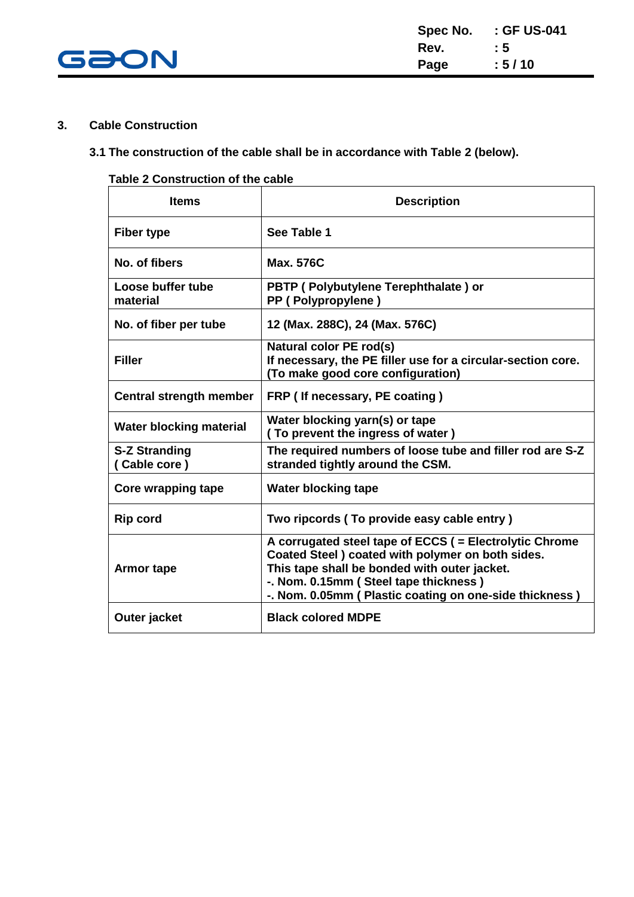

#### **3. Cable Construction**

### **3.1 The construction of the cable shall be in accordance with Table 2 (below).**

#### **Table 2 Construction of the cable**

| <b>Items</b>                         | <b>Description</b>                                                                                                                                                                                                                                                |
|--------------------------------------|-------------------------------------------------------------------------------------------------------------------------------------------------------------------------------------------------------------------------------------------------------------------|
| <b>Fiber type</b>                    | See Table 1                                                                                                                                                                                                                                                       |
| No. of fibers                        | <b>Max. 576C</b>                                                                                                                                                                                                                                                  |
| Loose buffer tube<br>material        | PBTP (Polybutylene Terephthalate) or<br>PP (Polypropylene)                                                                                                                                                                                                        |
| No. of fiber per tube                | 12 (Max. 288C), 24 (Max. 576C)                                                                                                                                                                                                                                    |
| <b>Filler</b>                        | <b>Natural color PE rod(s)</b><br>If necessary, the PE filler use for a circular-section core.<br>(To make good core configuration)                                                                                                                               |
| <b>Central strength member</b>       | FRP (If necessary, PE coating)                                                                                                                                                                                                                                    |
| <b>Water blocking material</b>       | Water blocking yarn(s) or tape<br>(To prevent the ingress of water)                                                                                                                                                                                               |
| <b>S-Z Stranding</b><br>(Cable core) | The required numbers of loose tube and filler rod are S-Z<br>stranded tightly around the CSM.                                                                                                                                                                     |
| Core wrapping tape                   | <b>Water blocking tape</b>                                                                                                                                                                                                                                        |
| <b>Rip cord</b>                      | Two ripcords (To provide easy cable entry)                                                                                                                                                                                                                        |
| <b>Armor tape</b>                    | A corrugated steel tape of ECCS ( = Electrolytic Chrome<br>Coated Steel ) coated with polymer on both sides.<br>This tape shall be bonded with outer jacket.<br>-. Nom. 0.15mm (Steel tape thickness)<br>-. Nom. 0.05mm ( Plastic coating on one-side thickness ) |
| Outer jacket                         | <b>Black colored MDPE</b>                                                                                                                                                                                                                                         |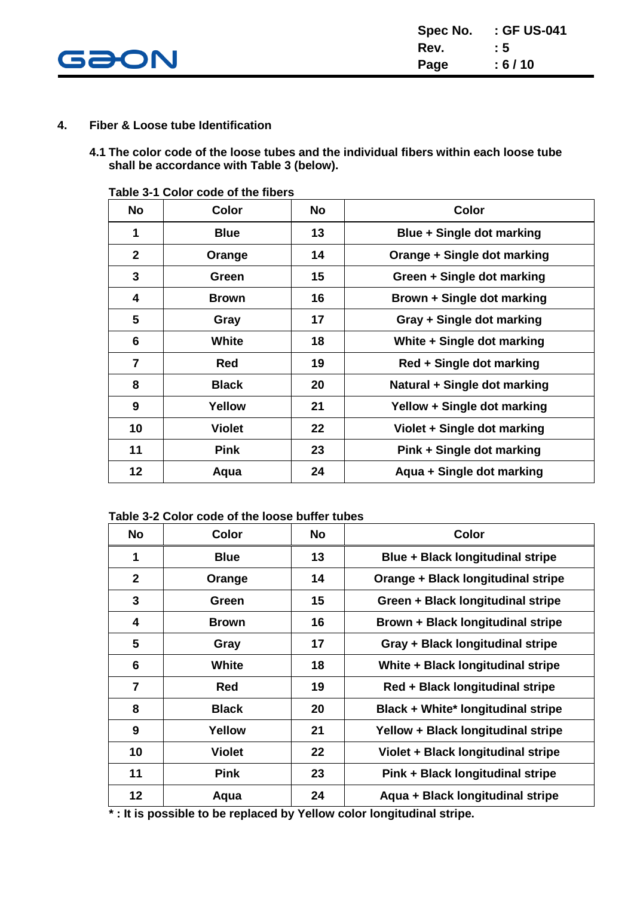

#### **4. Fiber & Loose tube Identification**

**4.1 The color code of the loose tubes and the individual fibers within each loose tube shall be accordance with Table 3 (below).**

| <b>No</b>      | <b>Color</b>  | <b>No</b> | <b>Color</b>                 |
|----------------|---------------|-----------|------------------------------|
| 1              | <b>Blue</b>   | 13        | Blue + Single dot marking    |
| $\mathbf{2}$   | Orange        | 14        | Orange + Single dot marking  |
| 3              | Green         | 15        | Green + Single dot marking   |
| 4              | <b>Brown</b>  | 16        | Brown + Single dot marking   |
| 5              | Gray          | 17        | Gray + Single dot marking    |
| 6              | <b>White</b>  | 18        | White + Single dot marking   |
| $\overline{7}$ | Red           | 19        | Red + Single dot marking     |
| 8              | <b>Black</b>  | 20        | Natural + Single dot marking |
| 9              | Yellow        | 21        | Yellow + Single dot marking  |
| 10             | <b>Violet</b> | 22        | Violet + Single dot marking  |
| 11             | <b>Pink</b>   | 23        | Pink + Single dot marking    |
| 12             | Aqua          | 24        | Aqua + Single dot marking    |

**Table 3-1 Color code of the fibers**

#### **Table 3-2 Color code of the loose buffer tubes**

| <b>No</b>      | <b>Color</b>  | <b>No</b> | <b>Color</b>                              |
|----------------|---------------|-----------|-------------------------------------------|
| 1              | <b>Blue</b>   | 13        | <b>Blue + Black longitudinal stripe</b>   |
| $\mathbf{2}$   | Orange        | 14        | Orange + Black longitudinal stripe        |
| 3              | Green         | 15        | Green + Black longitudinal stripe         |
| 4              | <b>Brown</b>  | 16        | Brown + Black longitudinal stripe         |
| 5              | Gray          | 17        | Gray + Black longitudinal stripe          |
| 6              | <b>White</b>  | 18        | White + Black longitudinal stripe         |
| $\overline{7}$ | <b>Red</b>    | 19        | Red + Black longitudinal stripe           |
| 8              | <b>Black</b>  | 20        | <b>Black + White* longitudinal stripe</b> |
| 9              | Yellow        | 21        | Yellow + Black longitudinal stripe        |
| 10             | <b>Violet</b> | 22        | Violet + Black longitudinal stripe        |
| 11             | <b>Pink</b>   | 23        | Pink + Black longitudinal stripe          |
| 12             | Aqua          | 24        | Aqua + Black longitudinal stripe          |

 **\* : It is possible to be replaced by Yellow color longitudinal stripe.**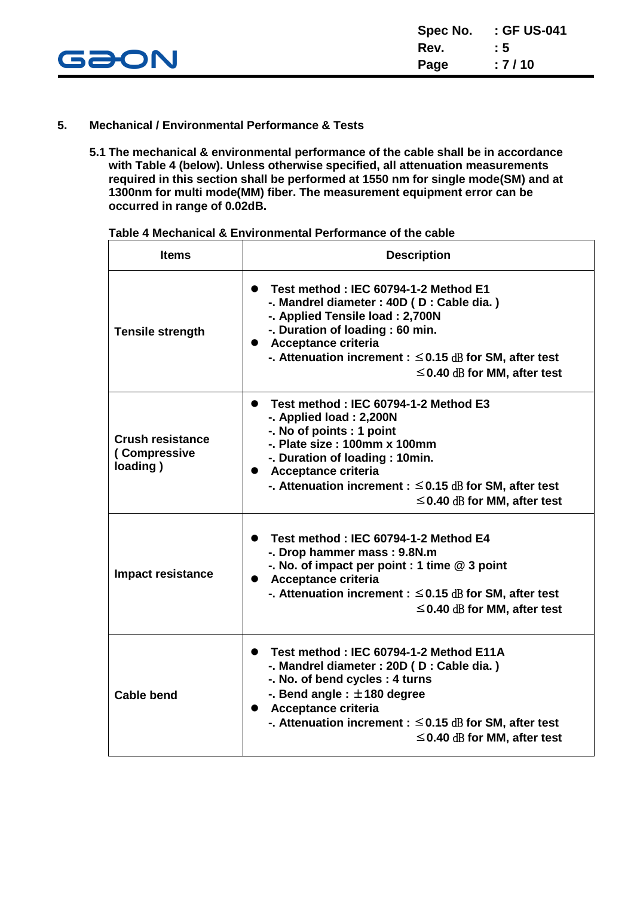

#### **5. Mechanical / Environmental Performance & Tests**

**5.1 The mechanical & environmental performance of the cable shall be in accordance with Table 4 (below). Unless otherwise specified, all attenuation measurements required in this section shall be performed at 1550 nm for single mode(SM) and at 1300nm for multi mode(MM) fiber. The measurement equipment error can be occurred in range of 0.02dB.**

| <b>Items</b>                                        | <b>Description</b>                                                                                                                                                                                                                                                                                            |
|-----------------------------------------------------|---------------------------------------------------------------------------------------------------------------------------------------------------------------------------------------------------------------------------------------------------------------------------------------------------------------|
| <b>Tensile strength</b>                             | • Test method: IEC 60794-1-2 Method E1<br>-. Mandrel diameter : 40D (D : Cable dia.)<br>-. Applied Tensile load: 2,700N<br>-. Duration of loading : 60 min.<br>• Acceptance criteria<br>-. Attenuation increment : $\leq$ 0.15 dB for SM, after test<br>$\leq$ 0.40 dB for MM, after test                     |
| <b>Crush resistance</b><br>(Compressive<br>loading) | Test method: IEC 60794-1-2 Method E3<br>$\bullet$<br>-. Applied load: 2,200N<br>-. No of points : 1 point<br>$-$ . Plate size : 100mm x 100mm<br>-. Duration of loading: 10min.<br>• Acceptance criteria<br>-. Attenuation increment : $\leq$ 0.15 dB for SM, after test<br>$\leq$ 0.40 dB for MM, after test |
| <b>Impact resistance</b>                            | Test method: IEC 60794-1-2 Method E4<br>$\bullet$<br>-. Drop hammer mass: 9.8N.m<br>-. No. of impact per point : 1 time @ 3 point<br>• Acceptance criteria<br>-. Attenuation increment : $\leq$ 0.15 dB for SM, after test<br>$\leq$ 0.40 dB for MM, after test                                               |
| <b>Cable bend</b>                                   | Test method: IEC 60794-1-2 Method E11A<br>$\bullet$<br>-. Mandrel diameter : 20D (D : Cable dia.)<br>-. No. of bend cycles: 4 turns<br>-. Bend angle : $\pm$ 180 degree<br>• Acceptance criteria<br>-. Attenuation increment : $\leq$ 0.15 dB for SM, after test<br>$\leq$ 0.40 dB for MM, after test         |

**Table 4 Mechanical & Environmental Performance of the cable**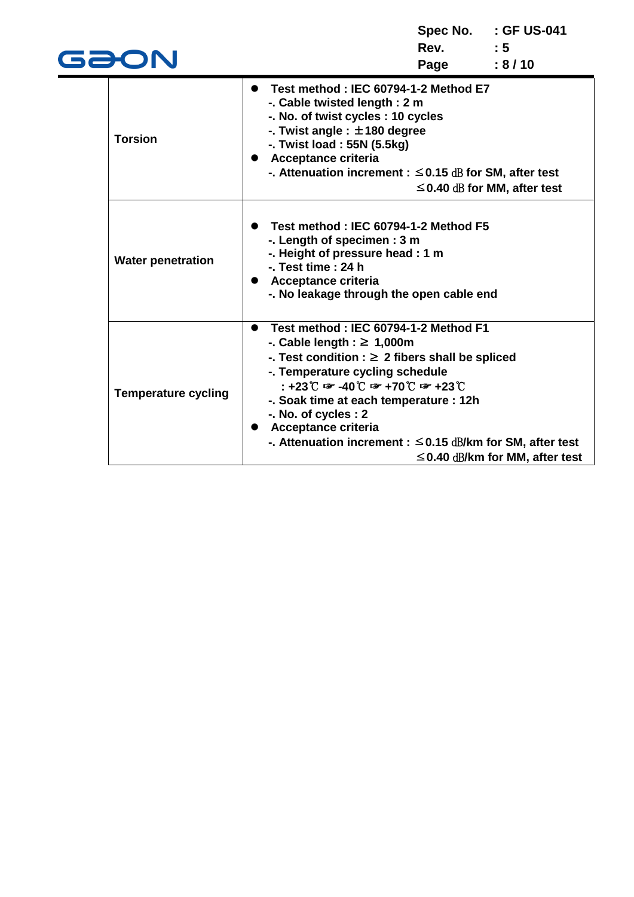| GƏON                       |                                                                                                                                                                                                                                                                                                                                                                                                                                                             | Rev. : 5<br>Page | Spec No. : GF US-041<br>: 8/10       |
|----------------------------|-------------------------------------------------------------------------------------------------------------------------------------------------------------------------------------------------------------------------------------------------------------------------------------------------------------------------------------------------------------------------------------------------------------------------------------------------------------|------------------|--------------------------------------|
| <b>Torsion</b>             | Test method: IEC 60794-1-2 Method E7<br>$\bullet$<br>-. Cable twisted length: 2 m<br>-. No. of twist cycles : 10 cycles<br>-. Twist angle : $\pm$ 180 degree<br>-. Twist load: 55N (5.5kg)<br><b>Acceptance criteria</b><br>-. Attenuation increment : $\leq$ 0.15 dB for SM, after test                                                                                                                                                                    |                  | $\leq$ 0.40 dB for MM, after test    |
| <b>Water penetration</b>   | Test method: IEC 60794-1-2 Method F5<br>-. Length of specimen: 3 m<br>-. Height of pressure head : 1 m<br>$-$ . Test time : 24 h<br>Acceptance criteria<br>-. No leakage through the open cable end                                                                                                                                                                                                                                                         |                  |                                      |
| <b>Temperature cycling</b> | • Test method: IEC 60794-1-2 Method F1<br>-. Cable length : $\geq 1,000$ m<br>-. Test condition : $\geq 2$ fibers shall be spliced<br>-. Temperature cycling schedule<br>$: +23^{\circ}$ $\mathbb{C}$ $\mathbb{F}$ -40 $\mathbb{C}$ $\mathbb{F}$ +70 $\mathbb{C}$ $\mathbb{F}$ +23 $\mathbb{C}$<br>-. Soak time at each temperature : 12h<br>-. No. of cycles : 2<br>Acceptance criteria<br>-. Attenuation increment : $\leq$ 0.15 dB/km for SM, after test |                  | $\leq$ 0.40 dB/km for MM, after test |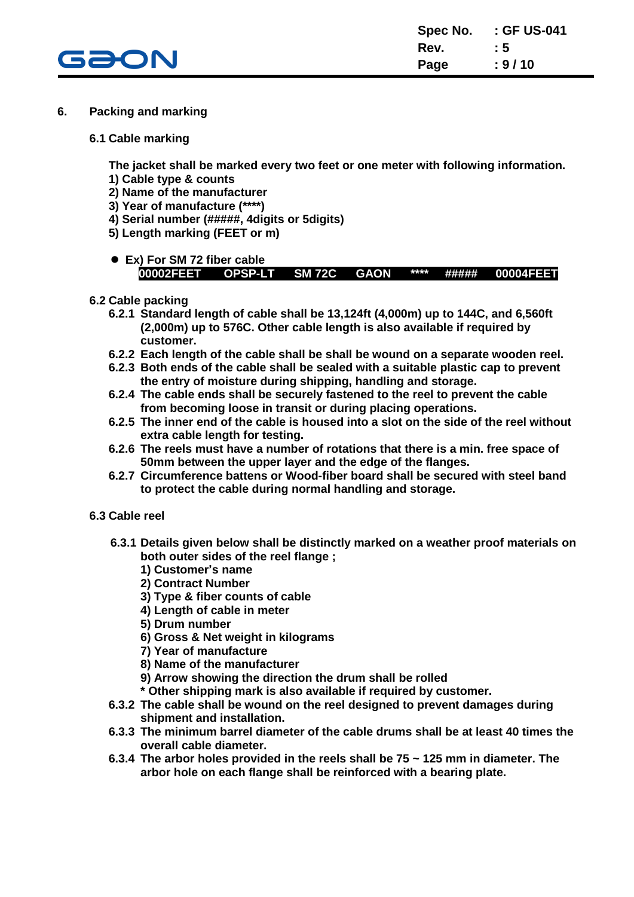

- **6. Packing and marking**
	- **6.1 Cable marking**

**The jacket shall be marked every two feet or one meter with following information.**

- **1) Cable type & counts**
- **2) Name of the manufacturer**
- **3) Year of manufacture (\*\*\*\*)**
- **4) Serial number (#####, 4digits or 5digits)**
- **5) Length marking (FEET or m)**
- **Ex) For SM 72 fiber cable 00002FEET OPSP-LT SM 72C GAON \*\*\*\* ##### 00004FEET**
- **6.2 Cable packing**
	- **6.2.1 Standard length of cable shall be 13,124ft (4,000m) up to 144C, and 6,560ft (2,000m) up to 576C. Other cable length is also available if required by customer.**
	- **6.2.2 Each length of the cable shall be shall be wound on a separate wooden reel.**
	- **6.2.3 Both ends of the cable shall be sealed with a suitable plastic cap to prevent the entry of moisture during shipping, handling and storage.**
	- **6.2.4 The cable ends shall be securely fastened to the reel to prevent the cable from becoming loose in transit or during placing operations.**
	- **6.2.5 The inner end of the cable is housed into a slot on the side of the reel without extra cable length for testing.**
	- **6.2.6 The reels must have a number of rotations that there is a min. free space of 50mm between the upper layer and the edge of the flanges.**
	- **6.2.7 Circumference battens or Wood-fiber board shall be secured with steel band to protect the cable during normal handling and storage.**
- **6.3 Cable reel**
	- **6.3.1 Details given below shall be distinctly marked on a weather proof materials on both outer sides of the reel flange ;**
		- **1) Customer's name**
		- **2) Contract Number**
		- **3) Type & fiber counts of cable**
		- **4) Length of cable in meter**
		- **5) Drum number**
		- **6) Gross & Net weight in kilograms**
		- **7) Year of manufacture**
		- **8) Name of the manufacturer**
		- **9) Arrow showing the direction the drum shall be rolled**
		- **\* Other shipping mark is also available if required by customer.**
	- **6.3.2 The cable shall be wound on the reel designed to prevent damages during shipment and installation.**
	- **6.3.3 The minimum barrel diameter of the cable drums shall be at least 40 times the overall cable diameter.**
	- **6.3.4 The arbor holes provided in the reels shall be 75 ~ 125 mm in diameter. The arbor hole on each flange shall be reinforced with a bearing plate.**